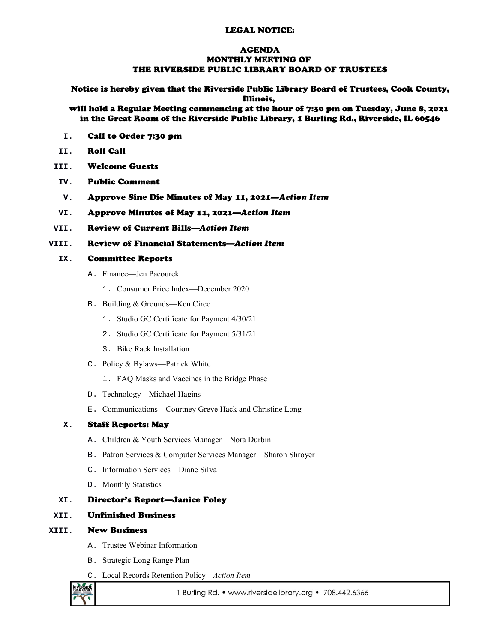### LEGAL NOTICE:

### AGENDA MONTHLY MEETING OF THE RIVERSIDE PUBLIC LIBRARY BOARD OF TRUSTEES

Notice is hereby given that the Riverside Public Library Board of Trustees, Cook County, Illinois,

will hold a Regular Meeting commencing at the hour of 7:30 pm on Tuesday, June 8, 2021 in the Great Room of the Riverside Public Library, 1 Burling Rd., Riverside, IL 60546

- **I.** Call to Order 7:30 pm
- **II.** Roll Call
- **III.** Welcome Guests
- **IV.** Public Comment
- **V.** Approve Sine Die Minutes of May 11, 2021—*Action Item*
- **VI.** Approve Minutes of May 11, 2021*—Action Item*
- **VII.** Review of Current Bills*—Action Item*

### **VIII.** Review of Financial Statements*—Action Item*

### **IX.** Committee Reports

- A. Finance—Jen Pacourek
	- 1. Consumer Price Index—December 2020
- B. Building & Grounds—Ken Circo
	- 1. Studio GC Certificate for Payment 4/30/21
	- 2. Studio GC Certificate for Payment 5/31/21
	- 3. Bike Rack Installation
- C. Policy & Bylaws—Patrick White
	- 1. FAQ Masks and Vaccines in the Bridge Phase
- D. Technology—Michael Hagins
- E. Communications—Courtney Greve Hack and Christine Long

## **X.** Staff Reports: May

- A. Children & Youth Services Manager—Nora Durbin
- B. Patron Services & Computer Services Manager—Sharon Shroyer
- C. Information Services—Diane Silva
- D. Monthly Statistics

### **XI.** Director's Report—Janice Foley

### **XII.** Unfinished Business

### **XIII.** New Business

- A. Trustee Webinar Information
- B. Strategic Long Range Plan
- C. Local Records Retention Policy*—Action Item*

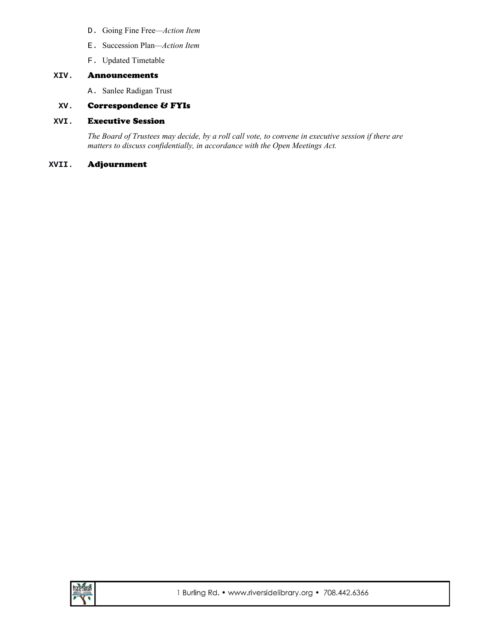- D. Going Fine Free*—Action Item*
- E. Succession Plan*—Action Item*
- F. Updated Timetable

## **XIV.** Announcements

A. Sanlee Radigan Trust

### **XV.** Correspondence & FYIs

### **XVI.** Executive Session

*The Board of Trustees may decide, by a roll call vote, to convene in executive session if there are matters to discuss confidentially, in accordance with the Open Meetings Act.*

#### **XVII.** Adjournment

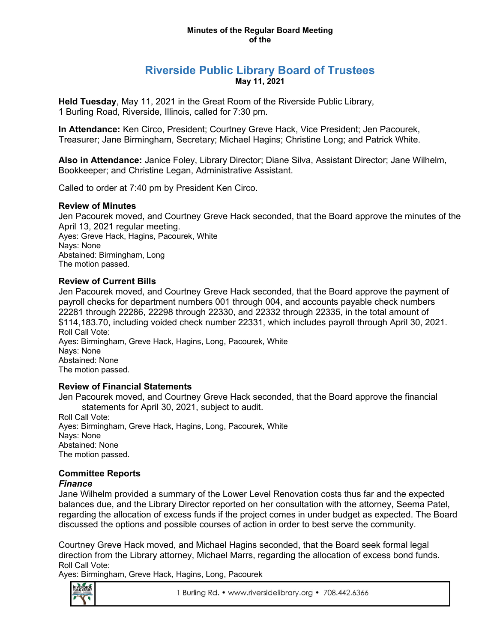### **Minutes of the Regular Board Meeting of the**

# **Riverside Public Library Board of Trustees May 11, 2021**

**Held Tuesday**, May 11, 2021 in the Great Room of the Riverside Public Library, 1 Burling Road, Riverside, Illinois, called for 7:30 pm.

**In Attendance:** Ken Circo, President; Courtney Greve Hack, Vice President; Jen Pacourek, Treasurer; Jane Birmingham, Secretary; Michael Hagins; Christine Long; and Patrick White.

**Also in Attendance:** Janice Foley, Library Director; Diane Silva, Assistant Director; Jane Wilhelm, Bookkeeper; and Christine Legan, Administrative Assistant.

Called to order at 7:40 pm by President Ken Circo.

## **Review of Minutes**

Jen Pacourek moved, and Courtney Greve Hack seconded, that the Board approve the minutes of the April 13, 2021 regular meeting. Ayes: Greve Hack, Hagins, Pacourek, White Nays: None Abstained: Birmingham, Long The motion passed.

## **Review of Current Bills**

Jen Pacourek moved, and Courtney Greve Hack seconded, that the Board approve the payment of payroll checks for department numbers 001 through 004, and accounts payable check numbers 22281 through 22286, 22298 through 22330, and 22332 through 22335, in the total amount of \$114,183.70, including voided check number 22331, which includes payroll through April 30, 2021. Roll Call Vote: Ayes: Birmingham, Greve Hack, Hagins, Long, Pacourek, White Nays: None Abstained: None

The motion passed.

## **Review of Financial Statements**

Jen Pacourek moved, and Courtney Greve Hack seconded, that the Board approve the financial statements for April 30, 2021, subject to audit.

Roll Call Vote: Ayes: Birmingham, Greve Hack, Hagins, Long, Pacourek, White Nays: None Abstained: None The motion passed.

# **Committee Reports**

## *Finance*

Jane Wilhelm provided a summary of the Lower Level Renovation costs thus far and the expected balances due, and the Library Director reported on her consultation with the attorney, Seema Patel, regarding the allocation of excess funds if the project comes in under budget as expected. The Board discussed the options and possible courses of action in order to best serve the community.

Courtney Greve Hack moved, and Michael Hagins seconded, that the Board seek formal legal direction from the Library attorney, Michael Marrs, regarding the allocation of excess bond funds. Roll Call Vote:

Ayes: Birmingham, Greve Hack, Hagins, Long, Pacourek

| <b>BLIC LIBRARY</b> |
|---------------------|
|                     |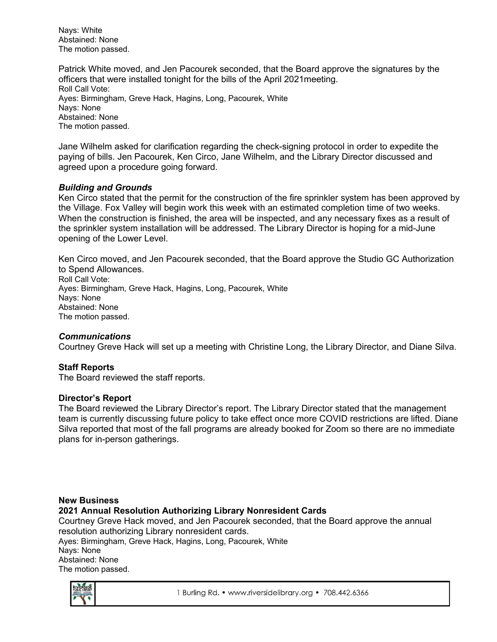Nays: White Abstained: None The motion passed.

Patrick White moved, and Jen Pacourek seconded, that the Board approve the signatures by the officers that were installed tonight for the bills of the April 2021meeting. Roll Call Vote: Ayes: Birmingham, Greve Hack, Hagins, Long, Pacourek, White Nays: None Abstained: None The motion passed.

Jane Wilhelm asked for clarification regarding the check-signing protocol in order to expedite the paying of bills. Jen Pacourek, Ken Circo, Jane Wilhelm, and the Library Director discussed and agreed upon a procedure going forward.

## *Building and Grounds*

Ken Circo stated that the permit for the construction of the fire sprinkler system has been approved by the Village. Fox Valley will begin work this week with an estimated completion time of two weeks. When the construction is finished, the area will be inspected, and any necessary fixes as a result of the sprinkler system installation will be addressed. The Library Director is hoping for a mid-June opening of the Lower Level.

Ken Circo moved, and Jen Pacourek seconded, that the Board approve the Studio GC Authorization to Spend Allowances. Roll Call Vote: Ayes: Birmingham, Greve Hack, Hagins, Long, Pacourek, White Nays: None Abstained: None The motion passed.

## *Communications*

Courtney Greve Hack will set up a meeting with Christine Long, the Library Director, and Diane Silva.

## **Staff Reports**

The Board reviewed the staff reports.

### **Director's Report**

The Board reviewed the Library Director's report. The Library Director stated that the management team is currently discussing future policy to take effect once more COVID restrictions are lifted. Diane Silva reported that most of the fall programs are already booked for Zoom so there are no immediate plans for in-person gatherings.

## **New Business**

## **2021 Annual Resolution Authorizing Library Nonresident Cards**

Courtney Greve Hack moved, and Jen Pacourek seconded, that the Board approve the annual resolution authorizing Library nonresident cards. Ayes: Birmingham, Greve Hack, Hagins, Long, Pacourek, White Nays: None Abstained: None The motion passed.



1 Burling Rd. • www.riversidelibrary.org • 708.442.6366